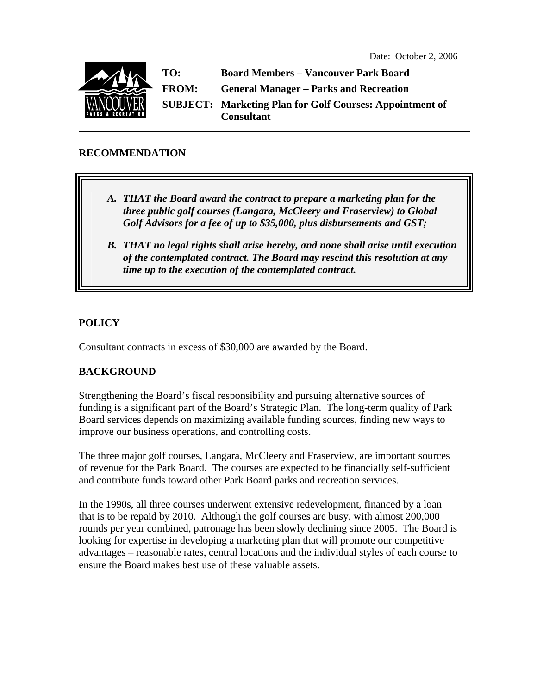

**TO: Board Members – Vancouver Park Board FROM: General Manager – Parks and Recreation SUBJECT: Marketing Plan for Golf Courses: Appointment of Consultant** 

## **RECOMMENDATION**

- *A. THAT the Board award the contract to prepare a marketing plan for the three public golf courses (Langara, McCleery and Fraserview) to Global Golf Advisors for a fee of up to \$35,000, plus disbursements and GST;*
- *B. THAT no legal rights shall arise hereby, and none shall arise until execution of the contemplated contract. The Board may rescind this resolution at any time up to the execution of the contemplated contract.*

# **POLICY**

Consultant contracts in excess of \$30,000 are awarded by the Board.

# **BACKGROUND**

Strengthening the Board's fiscal responsibility and pursuing alternative sources of funding is a significant part of the Board's Strategic Plan. The long-term quality of Park Board services depends on maximizing available funding sources, finding new ways to improve our business operations, and controlling costs.

The three major golf courses, Langara, McCleery and Fraserview, are important sources of revenue for the Park Board. The courses are expected to be financially self-sufficient and contribute funds toward other Park Board parks and recreation services.

In the 1990s, all three courses underwent extensive redevelopment, financed by a loan that is to be repaid by 2010. Although the golf courses are busy, with almost 200,000 rounds per year combined, patronage has been slowly declining since 2005. The Board is looking for expertise in developing a marketing plan that will promote our competitive advantages – reasonable rates, central locations and the individual styles of each course to ensure the Board makes best use of these valuable assets.